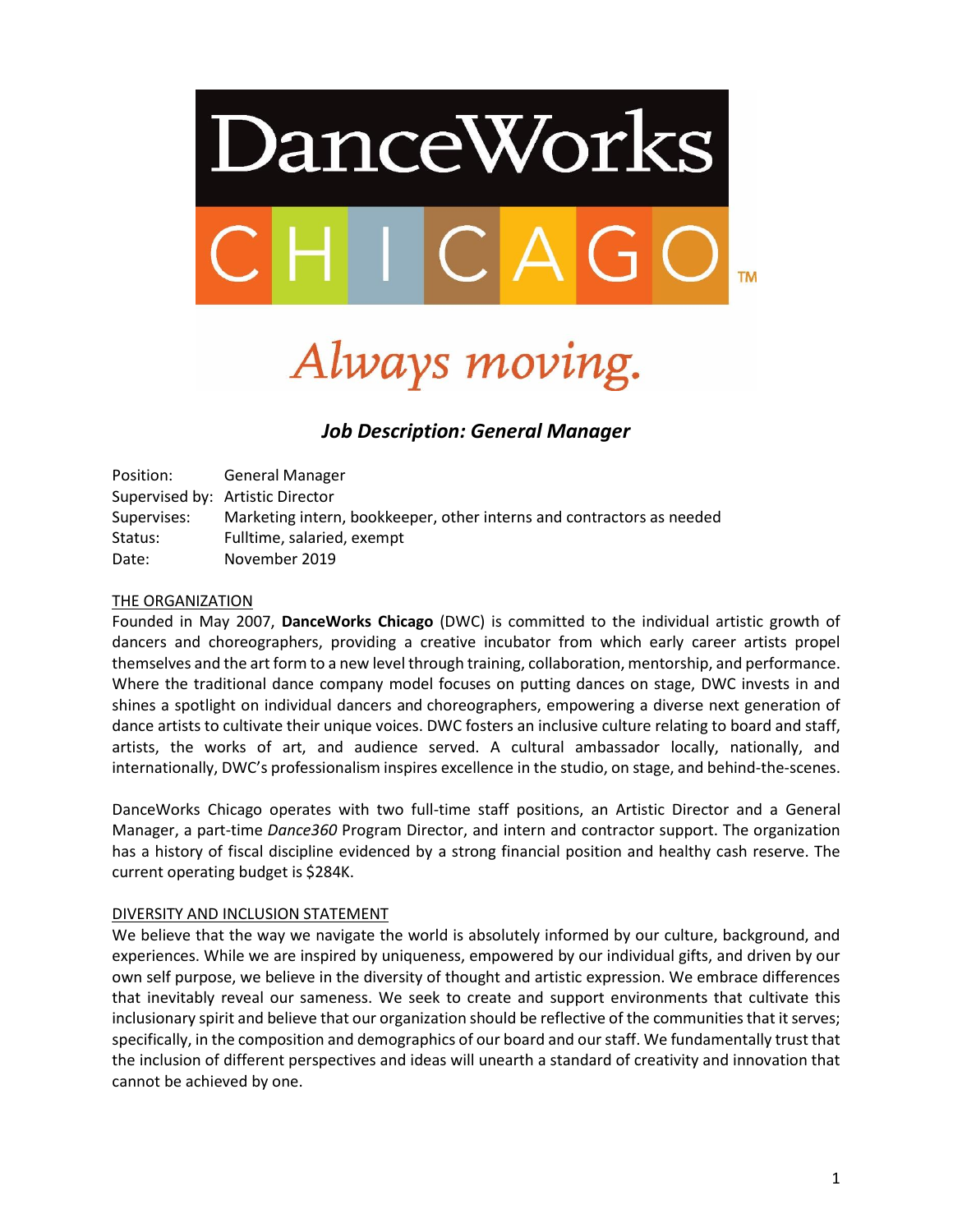

# Always moving.

# *Job Description: General Manager*

Position: General Manager Supervised by: Artistic Director Supervises: Marketing intern, bookkeeper, other interns and contractors as needed Status: Fulltime, salaried, exempt Date: November 2019

# THE ORGANIZATION

Founded in May 2007, **DanceWorks Chicago** (DWC) is committed to the individual artistic growth of dancers and choreographers, providing a creative incubator from which early career artists propel themselves and the art form to a new level through training, collaboration, mentorship, and performance. Where the traditional dance company model focuses on putting dances on stage, DWC invests in and shines a spotlight on individual dancers and choreographers, empowering a diverse next generation of dance artists to cultivate their unique voices. DWC fosters an inclusive culture relating to board and staff, artists, the works of art, and audience served. A cultural ambassador locally, nationally, and internationally, DWC's professionalism inspires excellence in the studio, on stage, and behind-the-scenes.

DanceWorks Chicago operates with two full-time staff positions, an Artistic Director and a General Manager, a part-time *Dance360* Program Director, and intern and contractor support. The organization has a history of fiscal discipline evidenced by a strong financial position and healthy cash reserve. The current operating budget is \$284K.

# DIVERSITY AND INCLUSION STATEMENT

We believe that the way we navigate the world is absolutely informed by our culture, background, and experiences. While we are inspired by uniqueness, empowered by our individual gifts, and driven by our own self purpose, we believe in the diversity of thought and artistic expression. We embrace differences that inevitably reveal our sameness. We seek to create and support environments that cultivate this inclusionary spirit and believe that our organization should be reflective of the communities that it serves; specifically, in the composition and demographics of our board and our staff. We fundamentally trust that the inclusion of different perspectives and ideas will unearth a standard of creativity and innovation that cannot be achieved by one.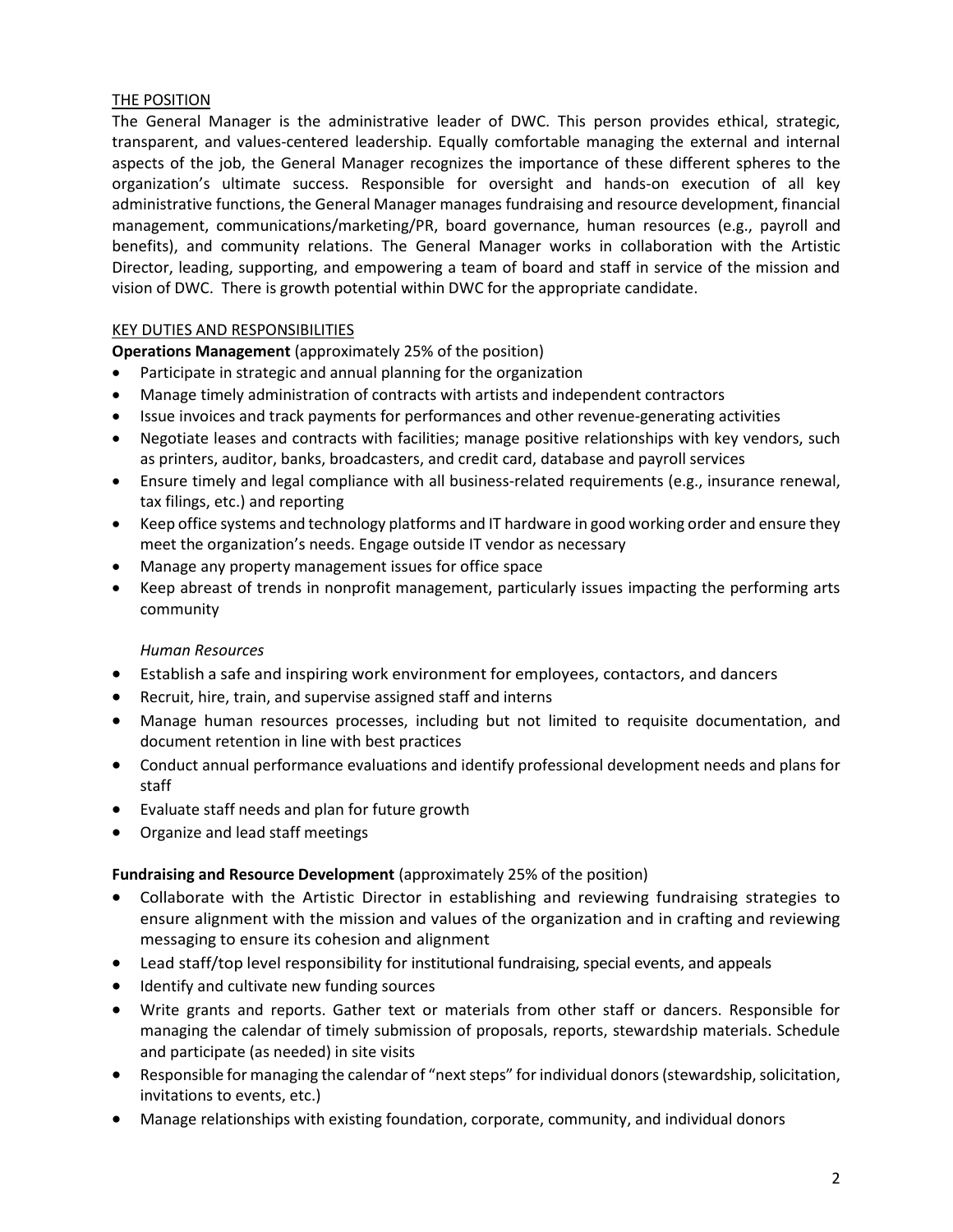# THE POSITION

The General Manager is the administrative leader of DWC. This person provides ethical, strategic, transparent, and values-centered leadership. Equally comfortable managing the external and internal aspects of the job, the General Manager recognizes the importance of these different spheres to the organization's ultimate success. Responsible for oversight and hands-on execution of all key administrative functions, the General Manager manages fundraising and resource development, financial management, communications/marketing/PR, board governance, human resources (e.g., payroll and benefits), and community relations. The General Manager works in collaboration with the Artistic Director, leading, supporting, and empowering a team of board and staff in service of the mission and vision of DWC. There is growth potential within DWC for the appropriate candidate.

# KEY DUTIES AND RESPONSIBILITIES

**Operations Management** (approximately 25% of the position)

- Participate in strategic and annual planning for the organization
- Manage timely administration of contracts with artists and independent contractors
- Issue invoices and track payments for performances and other revenue-generating activities
- Negotiate leases and contracts with facilities; manage positive relationships with key vendors, such as printers, auditor, banks, broadcasters, and credit card, database and payroll services
- Ensure timely and legal compliance with all business-related requirements (e.g., insurance renewal, tax filings, etc.) and reporting
- Keep office systems and technology platforms and IT hardware in good working order and ensure they meet the organization's needs. Engage outside IT vendor as necessary
- Manage any property management issues for office space
- Keep abreast of trends in nonprofit management, particularly issues impacting the performing arts community

# *Human Resources*

- Establish a safe and inspiring work environment for employees, contactors, and dancers
- Recruit, hire, train, and supervise assigned staff and interns
- Manage human resources processes, including but not limited to requisite documentation, and document retention in line with best practices
- Conduct annual performance evaluations and identify professional development needs and plans for staff
- Evaluate staff needs and plan for future growth
- Organize and lead staff meetings

# **Fundraising and Resource Development** (approximately 25% of the position)

- Collaborate with the Artistic Director in establishing and reviewing fundraising strategies to ensure alignment with the mission and values of the organization and in crafting and reviewing messaging to ensure its cohesion and alignment
- Lead staff/top level responsibility for institutional fundraising, special events, and appeals
- Identify and cultivate new funding sources
- Write grants and reports. Gather text or materials from other staff or dancers. Responsible for managing the calendar of timely submission of proposals, reports, stewardship materials. Schedule and participate (as needed) in site visits
- Responsible for managing the calendar of "next steps" for individual donors (stewardship, solicitation, invitations to events, etc.)
- Manage relationships with existing foundation, corporate, community, and individual donors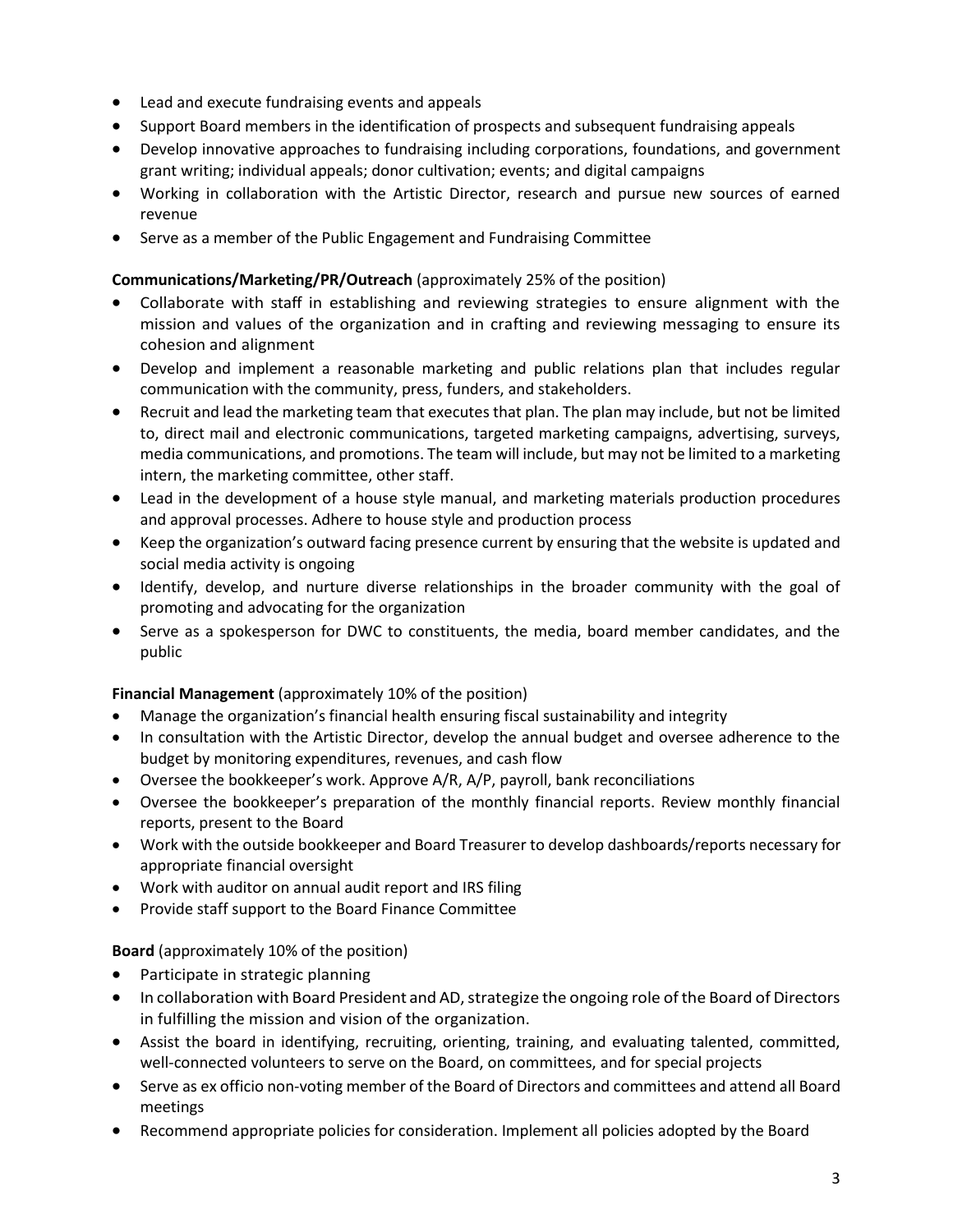- Lead and execute fundraising events and appeals
- Support Board members in the identification of prospects and subsequent fundraising appeals
- Develop innovative approaches to fundraising including corporations, foundations, and government grant writing; individual appeals; donor cultivation; events; and digital campaigns
- Working in collaboration with the Artistic Director, research and pursue new sources of earned revenue
- Serve as a member of the Public Engagement and Fundraising Committee

# **Communications/Marketing/PR/Outreach** (approximately 25% of the position)

- Collaborate with staff in establishing and reviewing strategies to ensure alignment with the mission and values of the organization and in crafting and reviewing messaging to ensure its cohesion and alignment
- Develop and implement a reasonable marketing and public relations plan that includes regular communication with the community, press, funders, and stakeholders.
- Recruit and lead the marketing team that executes that plan. The plan may include, but not be limited to, direct mail and electronic communications, targeted marketing campaigns, advertising, surveys, media communications, and promotions. The team will include, but may not be limited to a marketing intern, the marketing committee, other staff.
- Lead in the development of a house style manual, and marketing materials production procedures and approval processes. Adhere to house style and production process
- Keep the organization's outward facing presence current by ensuring that the website is updated and social media activity is ongoing
- Identify, develop, and nurture diverse relationships in the broader community with the goal of promoting and advocating for the organization
- Serve as a spokesperson for DWC to constituents, the media, board member candidates, and the public

# **Financial Management** (approximately 10% of the position)

- Manage the organization's financial health ensuring fiscal sustainability and integrity
- In consultation with the Artistic Director, develop the annual budget and oversee adherence to the budget by monitoring expenditures, revenues, and cash flow
- Oversee the bookkeeper's work. Approve A/R, A/P, payroll, bank reconciliations
- Oversee the bookkeeper's preparation of the monthly financial reports. Review monthly financial reports, present to the Board
- Work with the outside bookkeeper and Board Treasurer to develop dashboards/reports necessary for appropriate financial oversight
- Work with auditor on annual audit report and IRS filing
- Provide staff support to the Board Finance Committee

# **Board** (approximately 10% of the position)

- Participate in strategic planning
- In collaboration with Board President and AD, strategize the ongoing role of the Board of Directors in fulfilling the mission and vision of the organization.
- Assist the board in identifying, recruiting, orienting, training, and evaluating talented, committed, well-connected volunteers to serve on the Board, on committees, and for special projects
- Serve as ex officio non-voting member of the Board of Directors and committees and attend all Board meetings
- Recommend appropriate policies for consideration. Implement all policies adopted by the Board